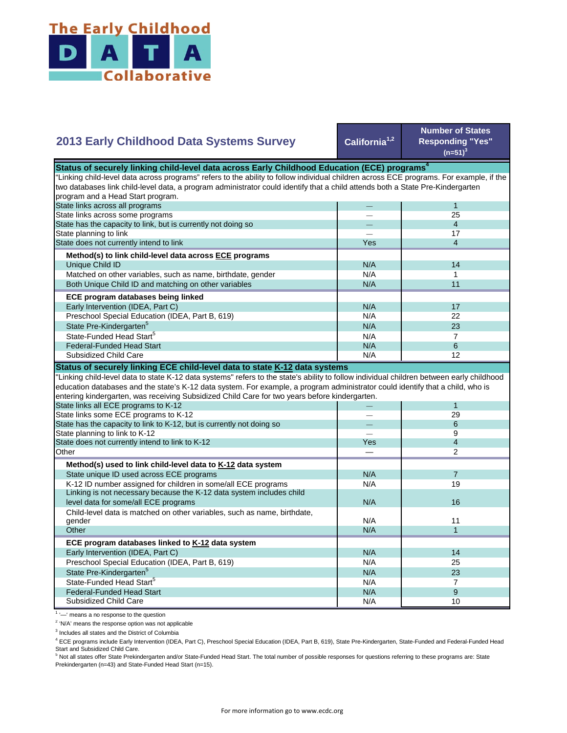

## **California1,2 Number of States Responding "Yes"**   $(n=51)^{3}$ — 1  $-$  25 — 4  $-$  17 Yes 1 4  $N/A$  14  $N/A$  1 N/A 11  $N/A$  17 N/A 22  $N/A$  23  $N/A$  7 State Pre-Kindergarten<sup>5</sup> State-Funded Head Start<sup>5</sup> Matched on other variables, such as name, birthdate, gender Both Unique Child ID and matching on other variables  **ECE program databases being linked**  Early Intervention (IDEA, Part C) Preschool Special Education (IDEA, Part B, 619) State has the capacity to link, but is currently not doing so State planning to link State does not currently intend to link  **Method(s) to link child-level data across ECE programs** Unique Child ID **2013 Early Childhood Data Systems Survey** Status of securely linking child-level data across Early Childhood Education (ECE) programs<sup>4</sup> "Linking child-level data across programs" refers to the ability to follow individual children across ECE programs. For example, if the two databases link child-level data, a program administrator could identify that a child attends both a State Pre-Kindergarten program and a Head Start program. State links across all programs State links across some programs  $N/A$  6 N/A **1** 12 — 1 — 29 — 6 — 9 Yes 1 4 — 2  $N/A$  7 N/A 19 N/A N/A 11  $N/A$  1 N/A 14 N/A 25 N/A 23  $N/A$  7  $N/A$  9 N/A 10 Preschool Special Education (IDEA, Part B, 619) State Pre-Kindergarten<sup>5</sup> State-Funded Head Start<sup>5</sup> Federal-Funded Head Start Subsidized Child Care Child-level data is matched on other variables, such as name, birthdate, gender **Other ECE program databases linked to K-12 data system** Early Intervention (IDEA, Part C) **Other Method(s) used to link child-level data to K-12 data system** State unique ID used across ECE programs K-12 ID number assigned for children in some/all ECE programs Linking is not necessary because the K-12 data system includes child level data for some/all ECE programs 16 and 16 and 16 and 16 and 16 and 16 and 16 and 16 and 16 and 16 and 16  $\mu$ "Linking child-level data to state K-12 data systems" refers to the state's ability to follow individual children between early childhood education databases and the state's K-12 data system. For example, a program administrator could identify that a child, who is entering kindergarten, was receiving Subsidized Child Care for two years before kindergarten. State links all ECE programs to K-12 State links some ECE programs to K-12 State has the capacity to link to K-12, but is currently not doing so State planning to link to K-12 State does not currently intend to link to K-12 Federal-Funded Head Start Subsidized Child Care **Status of securely linking ECE child-level data to state K-12 data systems**

<sup>1</sup> '-' means a no response to the question

<sup>2</sup> 'N/A' means the response option was not applicable

<sup>3</sup> Includes all states and the District of Columbia

<sup>4</sup> ECE programs include Early Intervention (IDEA, Part C), Preschool Special Education (IDEA, Part B, 619), State Pre-Kindergarten, State-Funded and Federal-Funded Head Start and Subsidized Child Care.

<sup>5</sup> Not all states offer State Prekindergarten and/or State-Funded Head Start. The total number of possible responses for questions referring to these programs are: State Prekindergarten (n=43) and State-Funded Head Start (n=15).